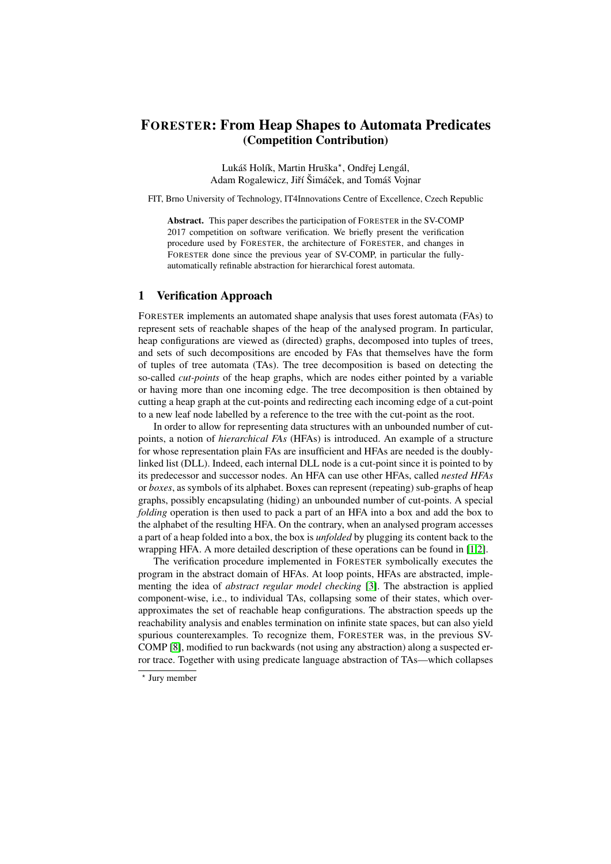# FORESTER: From Heap Shapes to Automata Predicates (Competition Contribution)

Lukáš Holík, Martin Hruška\*, Ondřej Lengál, Adam Rogalewicz, Jiří Šimáček, and Tomáš Vojnar

FIT, Brno University of Technology, IT4Innovations Centre of Excellence, Czech Republic

Abstract. This paper describes the participation of FORESTER in the SV-COMP 2017 competition on software verification. We briefly present the verification procedure used by FORESTER, the architecture of FORESTER, and changes in FORESTER done since the previous year of SV-COMP, in particular the fullyautomatically refinable abstraction for hierarchical forest automata.

### 1 Verification Approach

FORESTER implements an automated shape analysis that uses forest automata (FAs) to represent sets of reachable shapes of the heap of the analysed program. In particular, heap configurations are viewed as (directed) graphs, decomposed into tuples of trees, and sets of such decompositions are encoded by FAs that themselves have the form of tuples of tree automata (TAs). The tree decomposition is based on detecting the so-called *cut-points* of the heap graphs, which are nodes either pointed by a variable or having more than one incoming edge. The tree decomposition is then obtained by cutting a heap graph at the cut-points and redirecting each incoming edge of a cut-point to a new leaf node labelled by a reference to the tree with the cut-point as the root.

In order to allow for representing data structures with an unbounded number of cutpoints, a notion of *hierarchical FAs* (HFAs) is introduced. An example of a structure for whose representation plain FAs are insufficient and HFAs are needed is the doublylinked list (DLL). Indeed, each internal DLL node is a cut-point since it is pointed to by its predecessor and successor nodes. An HFA can use other HFAs, called *nested HFAs* or *boxes*, as symbols of its alphabet. Boxes can represent (repeating) sub-graphs of heap graphs, possibly encapsulating (hiding) an unbounded number of cut-points. A special *folding* operation is then used to pack a part of an HFA into a box and add the box to the alphabet of the resulting HFA. On the contrary, when an analysed program accesses a part of a heap folded into a box, the box is *unfolded* by plugging its content back to the wrapping HFA. A more detailed description of these operations can be found in [\[1,](#page-3-0)[2\]](#page-3-1).

The verification procedure implemented in FORESTER symbolically executes the program in the abstract domain of HFAs. At loop points, HFAs are abstracted, implementing the idea of *abstract regular model checking* [\[3\]](#page-3-2). The abstraction is applied component-wise, i.e., to individual TAs, collapsing some of their states, which overapproximates the set of reachable heap configurations. The abstraction speeds up the reachability analysis and enables termination on infinite state spaces, but can also yield spurious counterexamples. To recognize them, FORESTER was, in the previous SV-COMP [\[8\]](#page-3-3), modified to run backwards (not using any abstraction) along a suspected error trace. Together with using predicate language abstraction of TAs—which collapses

<sup>?</sup> Jury member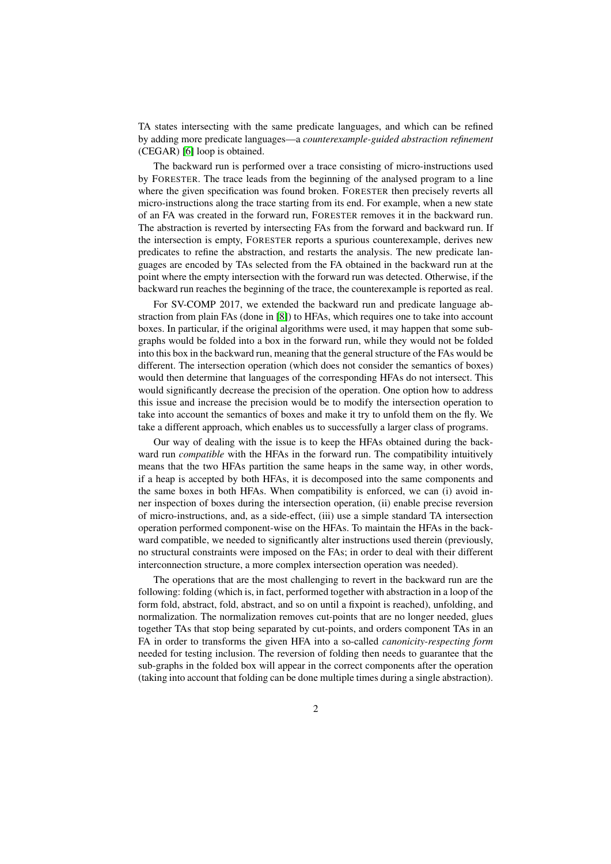TA states intersecting with the same predicate languages, and which can be refined by adding more predicate languages—a *counterexample-guided abstraction refinement* (CEGAR) [\[6\]](#page-3-4) loop is obtained.

The backward run is performed over a trace consisting of micro-instructions used by FORESTER. The trace leads from the beginning of the analysed program to a line where the given specification was found broken. FORESTER then precisely reverts all micro-instructions along the trace starting from its end. For example, when a new state of an FA was created in the forward run, FORESTER removes it in the backward run. The abstraction is reverted by intersecting FAs from the forward and backward run. If the intersection is empty, FORESTER reports a spurious counterexample, derives new predicates to refine the abstraction, and restarts the analysis. The new predicate languages are encoded by TAs selected from the FA obtained in the backward run at the point where the empty intersection with the forward run was detected. Otherwise, if the backward run reaches the beginning of the trace, the counterexample is reported as real.

For SV-COMP 2017, we extended the backward run and predicate language abstraction from plain FAs (done in [\[8\]](#page-3-3)) to HFAs, which requires one to take into account boxes. In particular, if the original algorithms were used, it may happen that some subgraphs would be folded into a box in the forward run, while they would not be folded into this box in the backward run, meaning that the general structure of the FAs would be different. The intersection operation (which does not consider the semantics of boxes) would then determine that languages of the corresponding HFAs do not intersect. This would significantly decrease the precision of the operation. One option how to address this issue and increase the precision would be to modify the intersection operation to take into account the semantics of boxes and make it try to unfold them on the fly. We take a different approach, which enables us to successfully a larger class of programs.

Our way of dealing with the issue is to keep the HFAs obtained during the backward run *compatible* with the HFAs in the forward run. The compatibility intuitively means that the two HFAs partition the same heaps in the same way, in other words, if a heap is accepted by both HFAs, it is decomposed into the same components and the same boxes in both HFAs. When compatibility is enforced, we can (i) avoid inner inspection of boxes during the intersection operation, (ii) enable precise reversion of micro-instructions, and, as a side-effect, (iii) use a simple standard TA intersection operation performed component-wise on the HFAs. To maintain the HFAs in the backward compatible, we needed to significantly alter instructions used therein (previously, no structural constraints were imposed on the FAs; in order to deal with their different interconnection structure, a more complex intersection operation was needed).

The operations that are the most challenging to revert in the backward run are the following: folding (which is, in fact, performed together with abstraction in a loop of the form fold, abstract, fold, abstract, and so on until a fixpoint is reached), unfolding, and normalization. The normalization removes cut-points that are no longer needed, glues together TAs that stop being separated by cut-points, and orders component TAs in an FA in order to transforms the given HFA into a so-called *canonicity-respecting form* needed for testing inclusion. The reversion of folding then needs to guarantee that the sub-graphs in the folded box will appear in the correct components after the operation (taking into account that folding can be done multiple times during a single abstraction).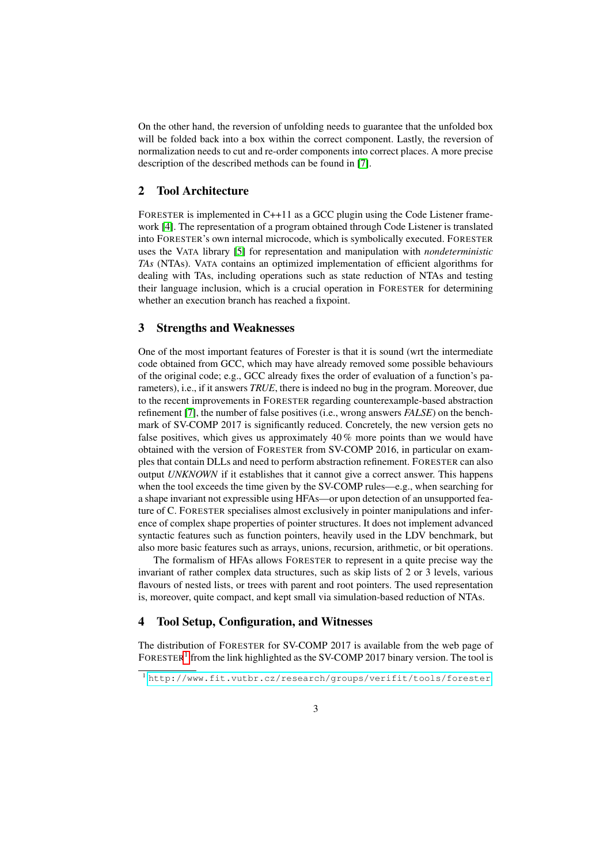On the other hand, the reversion of unfolding needs to guarantee that the unfolded box will be folded back into a box within the correct component. Lastly, the reversion of normalization needs to cut and re-order components into correct places. A more precise description of the described methods can be found in [\[7\]](#page-3-5).

## 2 Tool Architecture

FORESTER is implemented in C++11 as a GCC plugin using the Code Listener framework [\[4\]](#page-3-6). The representation of a program obtained through Code Listener is translated into FORESTER's own internal microcode, which is symbolically executed. FORESTER uses the VATA library [\[5\]](#page-3-7) for representation and manipulation with *nondeterministic TAs* (NTAs). VATA contains an optimized implementation of efficient algorithms for dealing with TAs, including operations such as state reduction of NTAs and testing their language inclusion, which is a crucial operation in FORESTER for determining whether an execution branch has reached a fixpoint.

### 3 Strengths and Weaknesses

One of the most important features of Forester is that it is sound (wrt the intermediate code obtained from GCC, which may have already removed some possible behaviours of the original code; e.g., GCC already fixes the order of evaluation of a function's parameters), i.e., if it answers *TRUE*, there is indeed no bug in the program. Moreover, due to the recent improvements in FORESTER regarding counterexample-based abstraction refinement [\[7\]](#page-3-5), the number of false positives (i.e., wrong answers *FALSE*) on the benchmark of SV-COMP 2017 is significantly reduced. Concretely, the new version gets no false positives, which gives us approximately  $40\%$  more points than we would have obtained with the version of FORESTER from SV-COMP 2016, in particular on examples that contain DLLs and need to perform abstraction refinement. FORESTER can also output *UNKNOWN* if it establishes that it cannot give a correct answer. This happens when the tool exceeds the time given by the SV-COMP rules—e.g., when searching for a shape invariant not expressible using HFAs—or upon detection of an unsupported feature of C. FORESTER specialises almost exclusively in pointer manipulations and inference of complex shape properties of pointer structures. It does not implement advanced syntactic features such as function pointers, heavily used in the LDV benchmark, but also more basic features such as arrays, unions, recursion, arithmetic, or bit operations.

The formalism of HFAs allows FORESTER to represent in a quite precise way the invariant of rather complex data structures, such as skip lists of 2 or 3 levels, various flavours of nested lists, or trees with parent and root pointers. The used representation is, moreover, quite compact, and kept small via simulation-based reduction of NTAs.

### 4 Tool Setup, Configuration, and Witnesses

The distribution of FORESTER for SV-COMP 2017 is available from the web page of FORESTER<sup>[1](#page-2-0)</sup> from the link highlighted as the SV-COMP 2017 binary version. The tool is

<span id="page-2-0"></span><sup>1</sup> <http://www.fit.vutbr.cz/research/groups/verifit/tools/forester>